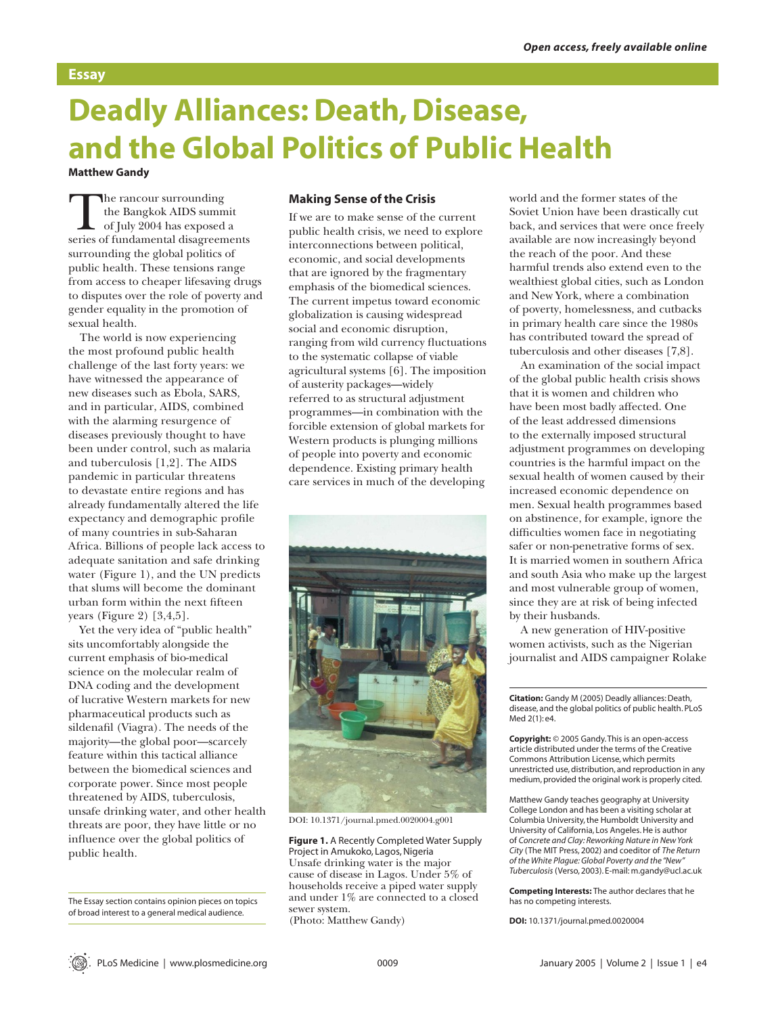### **Essay**

# **Deadly Alliances: Death, Disease, and the Global Politics of Public Health Matthew Gandy**

The rancour surrounding the Bangkok AIDS summit of July 2004 has exposed a series of fundamental disagreements surrounding the global politics of public health. These tensions range from access to cheaper lifesaving drugs to disputes over the role of poverty and gender equality in the promotion of sexual health.

The world is now experiencing the most profound public health challenge of the last forty years: we have witnessed the appearance of new diseases such as Ebola, SARS, and in particular, AIDS, combined with the alarming resurgence of diseases previously thought to have been under control, such as malaria and tuberculosis [1,2]. The AIDS pandemic in particular threatens to devastate entire regions and has already fundamentally altered the life expectancy and demographic profile of many countries in sub-Saharan Africa. Billions of people lack access to adequate sanitation and safe drinking water (Figure 1), and the UN predicts that slums will become the dominant urban form within the next fifteen years (Figure 2) [3,4,5].

Yet the very idea of "public health" sits uncomfortably alongside the current emphasis of bio-medical science on the molecular realm of DNA coding and the development of lucrative Western markets for new pharmaceutical products such as sildenafil (Viagra). The needs of the majority—the global poor—scarcely feature within this tactical alliance between the biomedical sciences and corporate power. Since most people threatened by AIDS, tuberculosis, unsafe drinking water, and other health threats are poor, they have little or no influence over the global politics of public health.

The Essay section contains opinion pieces on topics of broad interest to a general medical audience.

#### **Making Sense of the Crisis**

If we are to make sense of the current public health crisis, we need to explore interconnections between political, economic, and social developments that are ignored by the fragmentary emphasis of the biomedical sciences. The current impetus toward economic globalization is causing widespread social and economic disruption, ranging from wild currency fluctuations to the systematic collapse of viable agricultural systems [6]. The imposition of austerity packages—widely referred to as structural adjustment programmes—in combination with the forcible extension of global markets for Western products is plunging millions of people into poverty and economic dependence. Existing primary health care services in much of the developing



DOI: 10.1371/journal.pmed.0020004.g001

**Figure 1.** A Recently Completed Water Supply Project in Amukoko, Lagos, Nigeria Unsafe drinking water is the major cause of disease in Lagos. Under 5% of households receive a piped water supply and under 1% are connected to a closed sewer system. (Photo: Matthew Gandy)

world and the former states of the Soviet Union have been drastically cut back, and services that were once freely available are now increasingly beyond the reach of the poor. And these harmful trends also extend even to the wealthiest global cities, such as London and New York, where a combination of poverty, homelessness, and cutbacks in primary health care since the 1980s has contributed toward the spread of tuberculosis and other diseases [7,8].

An examination of the social impact of the global public health crisis shows that it is women and children who have been most badly affected. One of the least addressed dimensions to the externally imposed structural adjustment programmes on developing countries is the harmful impact on the sexual health of women caused by their increased economic dependence on men. Sexual health programmes based on abstinence, for example, ignore the difficulties women face in negotiating safer or non-penetrative forms of sex. It is married women in southern Africa and south Asia who make up the largest and most vulnerable group of women, since they are at risk of being infected by their husbands.

A new generation of HIV-positive women activists, such as the Nigerian journalist and AIDS campaigner Rolake

**Citation:** Gandy M (2005) Deadly alliances: Death, disease, and the global politics of public health. PLoS Med 2(1): e4.

**Copyright:** © 2005 Gandy. This is an open-access article distributed under the terms of the Creative Commons Attribution License, which permits unrestricted use, distribution, and reproduction in any medium, provided the original work is properly cited.

Matthew Gandy teaches geography at University College London and has been a visiting scholar at Columbia University, the Humboldt University and University of California, Los Angeles. He is author of *Concrete and Clay: Reworking Nature in New York City* (The MIT Press, 2002) and coeditor of *The Return of the White Plague: Global Poverty and the "New" Tuberculosis* (Verso, 2003). E-mail: m.gandy@ucl.ac.uk

**Competing Interests:** The author declares that he has no competing interests.

**DOI:** 10.1371/journal.pmed.0020004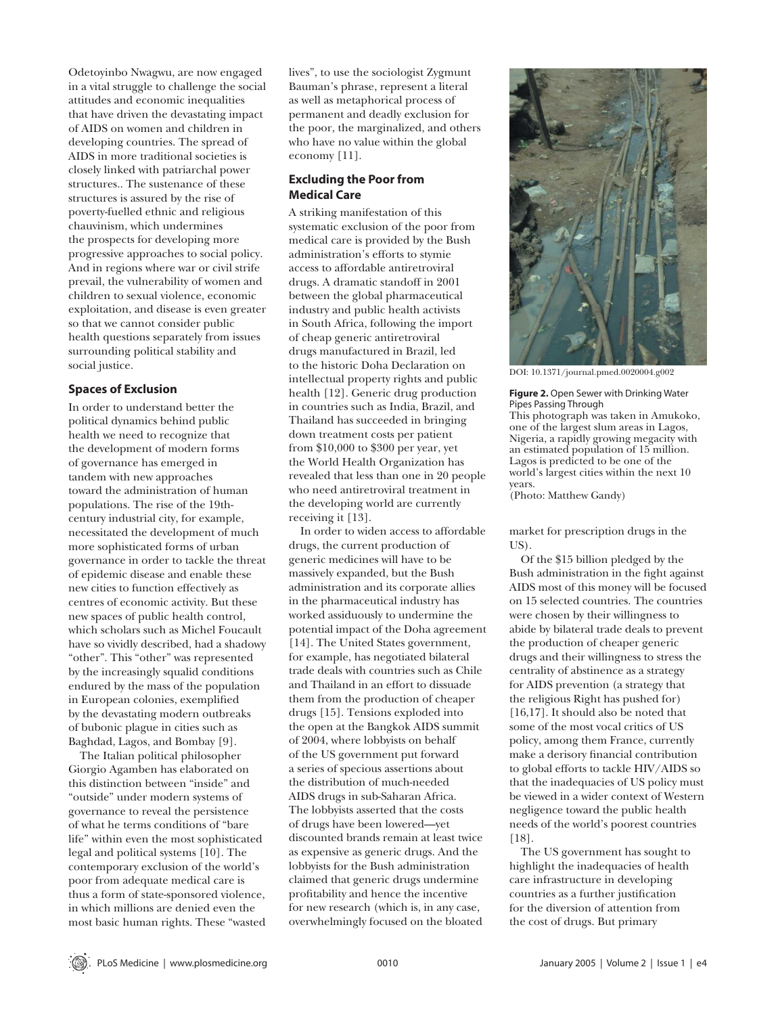Odetoyinbo Nwagwu, are now engaged in a vital struggle to challenge the social attitudes and economic inequalities that have driven the devastating impact of AIDS on women and children in developing countries. The spread of AIDS in more traditional societies is closely linked with patriarchal power structures.. The sustenance of these structures is assured by the rise of poverty-fuelled ethnic and religious chauvinism, which undermines the prospects for developing more progressive approaches to social policy. And in regions where war or civil strife prevail, the vulnerability of women and children to sexual violence, economic exploitation, and disease is even greater so that we cannot consider public health questions separately from issues surrounding political stability and social justice.

#### **Spaces of Exclusion**

In order to understand better the political dynamics behind public health we need to recognize that the development of modern forms of governance has emerged in tandem with new approaches toward the administration of human populations. The rise of the 19thcentury industrial city, for example, necessitated the development of much more sophisticated forms of urban governance in order to tackle the threat of epidemic disease and enable these new cities to function effectively as centres of economic activity. But these new spaces of public health control, which scholars such as Michel Foucault have so vividly described, had a shadowy "other". This "other" was represented by the increasingly squalid conditions endured by the mass of the population in European colonies, exemplified by the devastating modern outbreaks of bubonic plague in cities such as Baghdad, Lagos, and Bombay [9].

The Italian political philosopher Giorgio Agamben has elaborated on this distinction between "inside" and "outside" under modern systems of governance to reveal the persistence of what he terms conditions of "bare life" within even the most sophisticated legal and political systems [10]. The contemporary exclusion of the world's poor from adequate medical care is thus a form of state-sponsored violence, in which millions are denied even the most basic human rights. These "wasted lives", to use the sociologist Zygmunt Bauman's phrase, represent a literal as well as metaphorical process of permanent and deadly exclusion for the poor, the marginalized, and others who have no value within the global economy [11].

#### **Excluding the Poor from Medical Care**

A striking manifestation of this systematic exclusion of the poor from medical care is provided by the Bush administration's efforts to stymie access to affordable antiretroviral drugs. A dramatic standoff in 2001 between the global pharmaceutical industry and public health activists in South Africa, following the import of cheap generic antiretroviral drugs manufactured in Brazil, led to the historic Doha Declaration on intellectual property rights and public health [12]. Generic drug production in countries such as India, Brazil, and Thailand has succeeded in bringing down treatment costs per patient from \$10,000 to \$300 per year, yet the World Health Organization has revealed that less than one in 20 people who need antiretroviral treatment in the developing world are currently receiving it [13].

In order to widen access to affordable drugs, the current production of generic medicines will have to be massively expanded, but the Bush administration and its corporate allies in the pharmaceutical industry has worked assiduously to undermine the potential impact of the Doha agreement [14]. The United States government, for example, has negotiated bilateral trade deals with countries such as Chile and Thailand in an effort to dissuade them from the production of cheaper drugs [15]. Tensions exploded into the open at the Bangkok AIDS summit of 2004, where lobbyists on behalf of the US government put forward a series of specious assertions about the distribution of much-needed AIDS drugs in sub-Saharan Africa. The lobbyists asserted that the costs of drugs have been lowered—yet discounted brands remain at least twice as expensive as generic drugs. And the lobbyists for the Bush administration claimed that generic drugs undermine profitability and hence the incentive for new research (which is, in any case, overwhelmingly focused on the bloated



DOI: 10.1371/journal.pmed.0020004.g002

**Figure 2.** Open Sewer with Drinking Water Pipes Passing Through This photograph was taken in Amukoko,

one of the largest slum areas in Lagos, Nigeria, a rapidly growing megacity with an estimated population of 15 million. Lagos is predicted to be one of the world's largest cities within the next 10 years.

(Photo: Matthew Gandy)

market for prescription drugs in the US).

Of the \$15 billion pledged by the Bush administration in the fight against AIDS most of this money will be focused on 15 selected countries. The countries were chosen by their willingness to abide by bilateral trade deals to prevent the production of cheaper generic drugs and their willingness to stress the centrality of abstinence as a strategy for AIDS prevention (a strategy that the religious Right has pushed for) [16,17]. It should also be noted that some of the most vocal critics of US policy, among them France, currently make a derisory financial contribution to global efforts to tackle HIV/AIDS so that the inadequacies of US policy must be viewed in a wider context of Western negligence toward the public health needs of the world's poorest countries [18].

The US government has sought to highlight the inadequacies of health care infrastructure in developing countries as a further justification for the diversion of attention from the cost of drugs. But primary